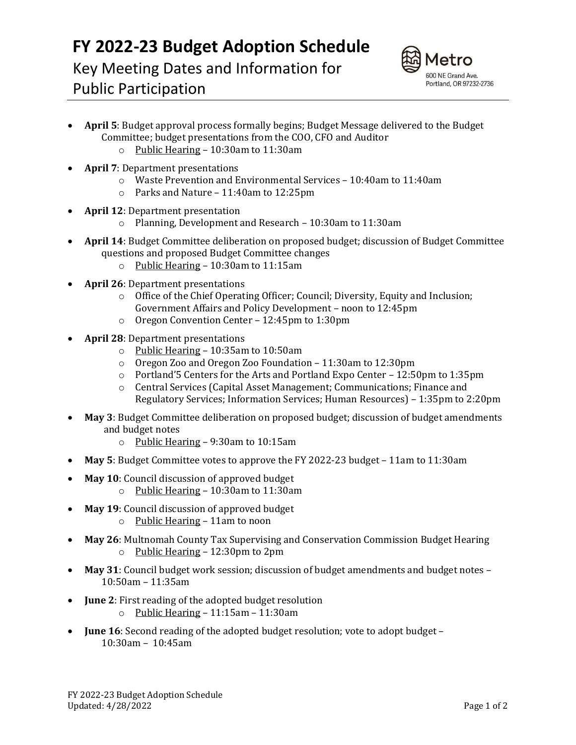## **FY 2022-23 Budget Adoption Schedule**

Key Meeting Dates and Information for Public Participation



## **April 5**: Budget approval process formally begins; Budget Message delivered to the Budget Committee; budget presentations from the COO, CFO and Auditor

- o Public Hearing 10:30am to 11:30am
- **April 7**: Department presentations
	- o Waste Prevention and Environmental Services 10:40am to 11:40am
	- o Parks and Nature 11:40am to 12:25pm
- **April 12**: Department presentation
	- o Planning, Development and Research 10:30am to 11:30am
- **April 14**: Budget Committee deliberation on proposed budget; discussion of Budget Committee questions and proposed Budget Committee changes
	- o Public Hearing 10:30am to 11:15am
- **April 26**: Department presentations
	- $\circ$  Office of the Chief Operating Officer; Council; Diversity, Equity and Inclusion; Government Affairs and Policy Development – noon to 12:45pm
	- o Oregon Convention Center 12:45pm to 1:30pm
- **April 28**: Department presentations
	- o Public Hearing 10:35am to 10:50am
	- o Oregon Zoo and Oregon Zoo Foundation 11:30am to 12:30pm
	- $\circ$  Portland'5 Centers for the Arts and Portland Expo Center 12:50pm to 1:35pm
	- o Central Services (Capital Asset Management; Communications; Finance and Regulatory Services; Information Services; Human Resources) – 1:35pm to 2:20pm
- **May 3**: Budget Committee deliberation on proposed budget; discussion of budget amendments and budget notes
	- o Public Hearing 9:30am to 10:15am
- **May 5**: Budget Committee votes to approve the FY 2022-23 budget 11am to 11:30am
- **May 10**: Council discussion of approved budget
	- o Public Hearing 10:30am to 11:30am
- **May 19**: Council discussion of approved budget
	- o Public Hearing 11am to noon
- **May 26**: Multnomah County Tax Supervising and Conservation Commission Budget Hearing o Public Hearing – 12:30pm to 2pm
- **May 31**: Council budget work session; discussion of budget amendments and budget notes 10:50am – 11:35am
- **June 2**: First reading of the adopted budget resolution
	- o Public Hearing 11:15am 11:30am
- **June 16**: Second reading of the adopted budget resolution; vote to adopt budget 10:30am – 10:45am